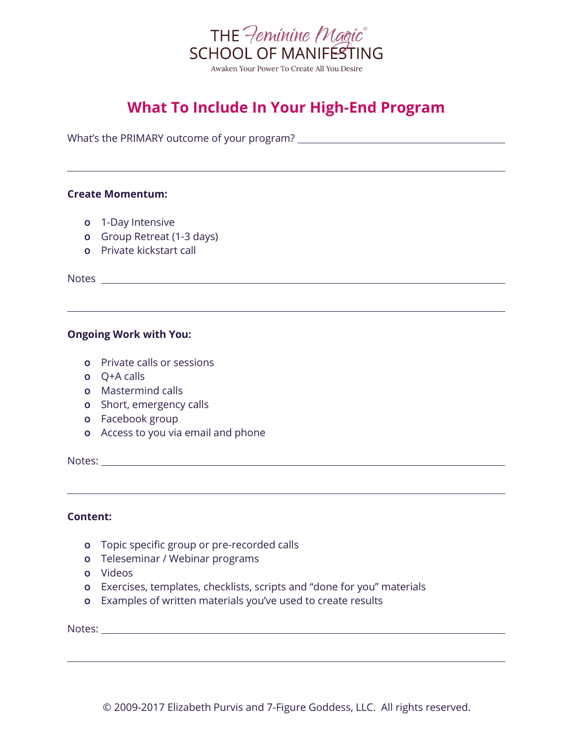

# **What To Include In Your High-End Program**

What's the PRIMARY outcome of your program?

## **Create Momentum:**

- **o** 1-Day Intensive
- **o** Group Retreat (1-3 days)
- **o** Private kickstart call

Notes

# **Ongoing Work with You:**

- **o** Private calls or sessions
- **o** Q+A calls
- **o** Mastermind calls
- **o** Short, emergency calls
- **o** Facebook group
- **o** Access to you via email and phone

Notes:

#### **Content:**

- **o** Topic specific group or pre-recorded calls
- **o** Teleseminar / Webinar programs
- **o** Videos
- **o** Exercises, templates, checklists, scripts and "done for you" materials
- **o** Examples of written materials you've used to create results

Notes: which is a series of the series of the series of the series of the series of the series of the series of the series of the series of the series of the series of the series of the series of the series of the series o